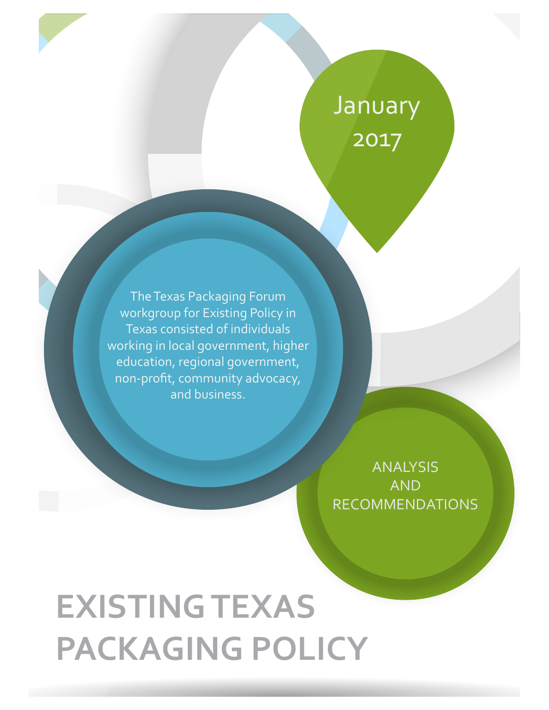# January 2017

The Texas Packaging Forum workgroup for Existing Policy in Texas consisted of individuals working in local government, higher education, regional government, non-profit, community advocacy, and business.

> ANALYSIS AND RECOMMENDATIONS

# **EXISTING TEXAS PACKAGING POLICY**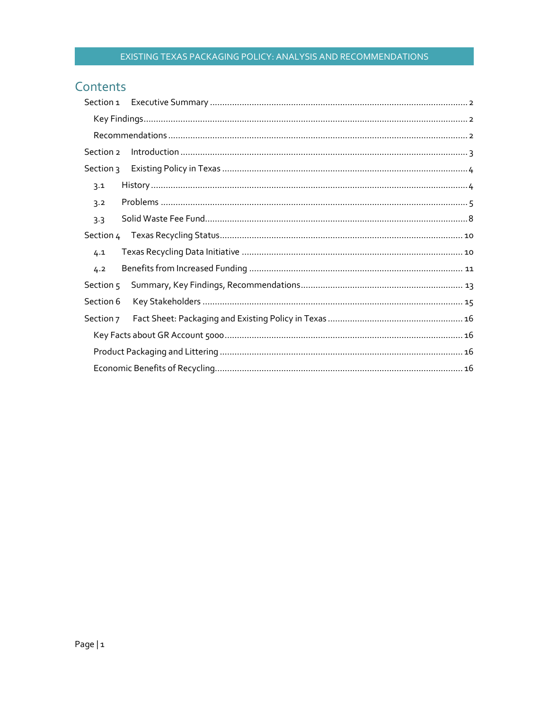### Contents

| Section 2 |  |
|-----------|--|
| Section 3 |  |
| 3.1       |  |
| 3.2       |  |
| 3.3       |  |
| Section 4 |  |
| 4.1       |  |
| 4.2       |  |
| Section 5 |  |
| Section 6 |  |
| Section 7 |  |
|           |  |
|           |  |
|           |  |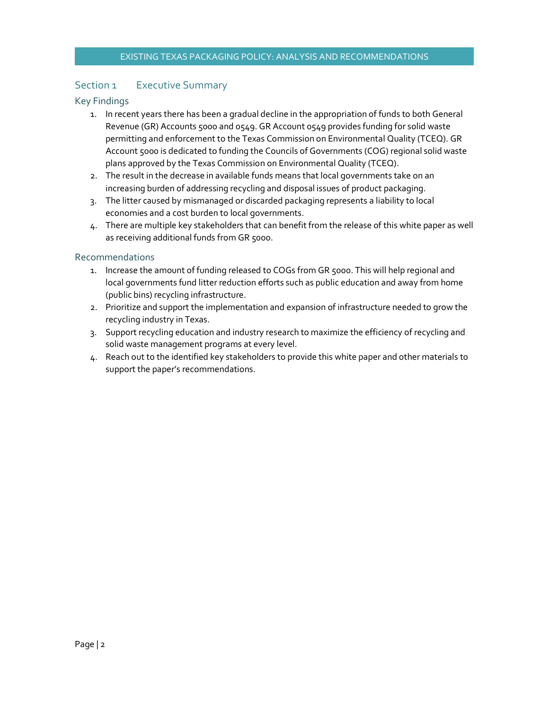#### Section 1 Executive Summary

#### Key Findings

- 1. In recent years there has been a gradual decline in the appropriation of funds to both General Revenue (GR) Accounts 5000 and 0549. GR Account 0549 provides funding for solid waste permitting and enforcement to the Texas Commission on Environmental Quality (TCEQ). GR Account 5000 is dedicated to funding the Councils of Governments (COG) regional solid waste plans approved by the Texas Commission on Environmental Quality (TCEQ).
- 2. The result in the decrease in available funds means that local governments take on an increasing burden of addressing recycling and disposal issues of product packaging.
- 3. The litter caused by mismanaged or discarded packaging represents a liability to local economies and a cost burden to local governments.
- 4. There are multiple key stakeholders that can benefit from the release of this white paper as well as receiving additional funds from GR 5000.

#### Recommendations

- 1. Increase the amount of funding released to COGs from GR 5000. This will help regional and local governments fund litter reduction efforts such as public education and away from home (public bins) recycling infrastructure.
- 2. Prioritize and support the implementation and expansion of infrastructure needed to grow the recycling industry in Texas.
- 3. Support recycling education and industry research to maximize the efficiency of recycling and solid waste management programs at every level.
- 4. Reach out to the identified key stakeholders to provide this white paper and other materials to support the paper's recommendations.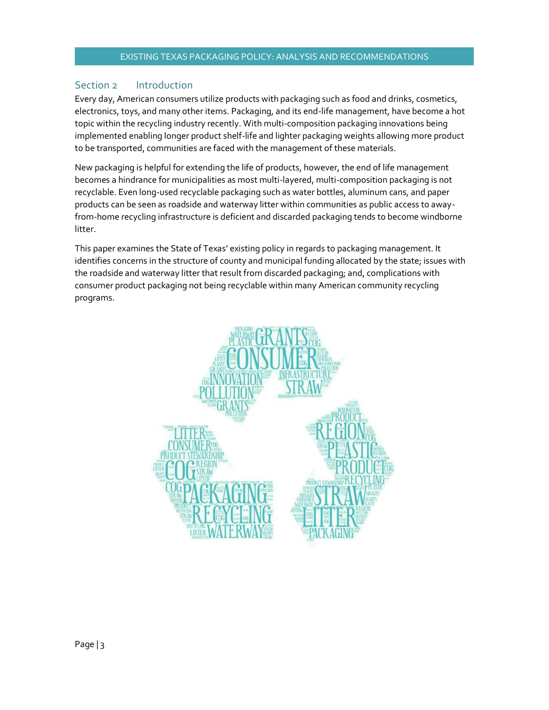#### Section 2 Introduction

Every day, American consumers utilize products with packaging such as food and drinks, cosmetics, electronics, toys, and many other items. Packaging, and its end-life management, have become a hot topic within the recycling industry recently. With multi-composition packaging innovations being implemented enabling longer product shelf-life and lighter packaging weights allowing more product to be transported, communities are faced with the management of these materials.

New packaging is helpful for extending the life of products, however, the end of life management becomes a hindrance for municipalities as most multi-layered, multi-composition packaging is not recyclable. Even long-used recyclable packaging such as water bottles, aluminum cans, and paper products can be seen as roadside and waterway litter within communities as public access to awayfrom-home recycling infrastructure is deficient and discarded packaging tends to become windborne litter.

This paper examines the State of Texas' existing policy in regards to packaging management. It identifies concerns in the structure of county and municipal funding allocated by the state; issues with the roadside and waterway litter that result from discarded packaging; and, complications with consumer product packaging not being recyclable within many American community recycling programs.

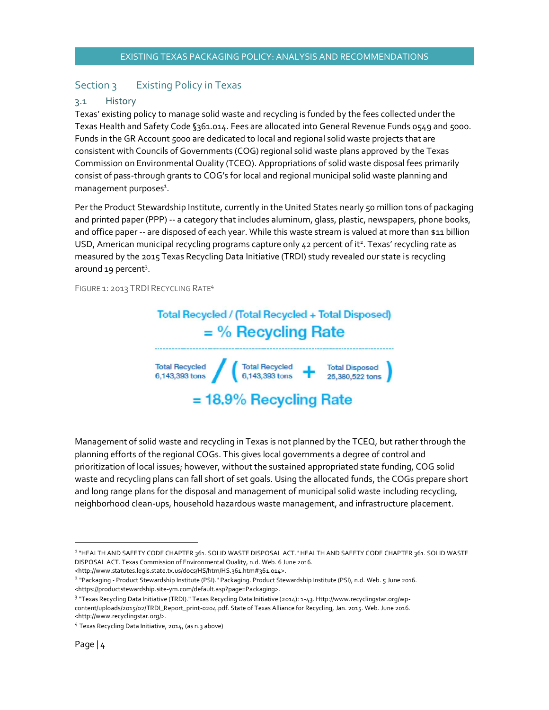#### Section 3 Existing Policy in Texas

#### 3.1 History

Texas' existing policy to manage solid waste and recycling is funded by the fees collected under the Texas Health and Safety Code §361.014. Fees are allocated into General Revenue Funds 0549 and 5000. Funds in the GR Account 5000 are dedicated to local and regional solid waste projects that are consistent with Councils of Governments (COG) regional solid waste plans approved by the Texas Commission on Environmental Quality (TCEQ). Appropriations of solid waste disposal fees primarily consist of pass-through grants to COG's for local and regional municipal solid waste planning and management purposes<sup>1</sup>.

Per the Product Stewardship Institute, currently in the United States nearly 50 million tons of packaging and printed paper (PPP) -- a category that includes aluminum, glass, plastic, newspapers, phone books, and office paper -- are disposed of each year. While this waste stream is valued at more than \$11 billion USD, American municipal recycling programs capture only 42 percent of it<sup>2</sup>. Texas' recycling rate as measured by the 2015 Texas Recycling Data Initiative (TRDI) study revealed our state is recycling around 19 percent<sup>3</sup>.

FIGURE 1: 2013 TRDI RECYCLING RATE4



Management of solid waste and recycling in Texas is not planned by the TCEQ, but rather through the planning efforts of the regional COGs. This gives local governments a degree of control and prioritization of local issues; however, without the sustained appropriated state funding, COG solid waste and recycling plans can fall short of set goals. Using the allocated funds, the COGs prepare short and long range plans for the disposal and management of municipal solid waste including recycling, neighborhood clean-ups, household hazardous waste management, and infrastructure placement.

<sup>&</sup>lt;sup>1</sup> "HEALTH AND SAFETY CODE CHAPTER 361. SOLID WASTE DISPOSAL ACT." HEALTH AND SAFETY CODE CHAPTER 361. SOLID WASTE DISPOSAL ACT. Texas Commission of Environmental Quality, n.d. Web. 6 June 2016.

<sup>&</sup>lt;http://www.statutes.legis.state.tx.us/docs/HS/htm/HS.361.htm#361.014>.

<sup>2</sup> "Packaging - Product Stewardship Institute (PSI)." Packaging. Product Stewardship Institute (PSI), n.d. Web. 5 June 2016. <https://productstewardship.site-ym.com/default.asp?page=Packaging>.

<sup>3</sup> "Texas Recycling Data Initiative (TRDI)." Texas Recycling Data Initiative (2014): 1-43. Http://www.recyclingstar.org/wpcontent/uploads/2015/02/TRDI\_Report\_print-0204.pdf. State of Texas Alliance for Recycling, Jan. 2015. Web. June 2016. <http://www.recyclingstar.org/>.

<sup>&</sup>lt;sup>4</sup> Texas Recycling Data Initiative, 2014, (as n.3 above)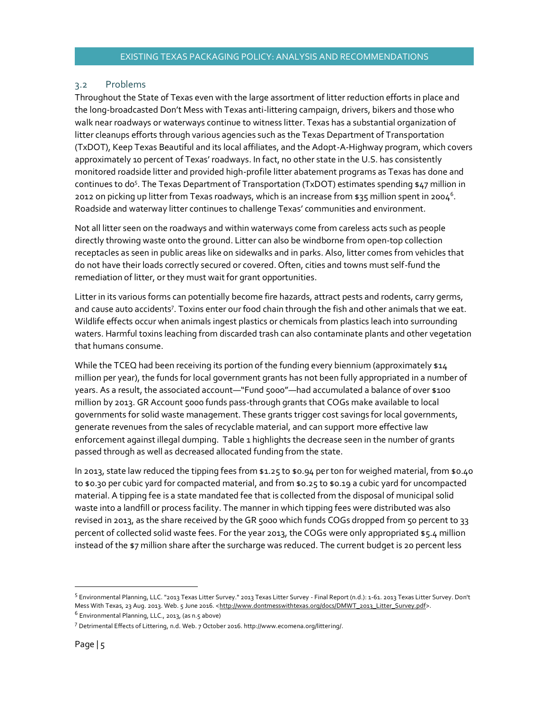#### 3.2 Problems

Throughout the State of Texas even with the large assortment of litter reduction efforts in place and the long-broadcasted Don't Mess with Texas anti-littering campaign, drivers, bikers and those who walk near roadways or waterways continue to witness litter. Texas has a substantial organization of litter cleanups efforts through various agencies such as the Texas Department of Transportation (TxDOT), Keep Texas Beautiful and its local affiliates, and the Adopt-A-Highway program, which covers approximately 10 percent of Texas' roadways. In fact, no other state in the U.S. has consistently monitored roadside litter and provided high-profile litter abatement programs as Texas has done and continues to do<sup>5</sup>. The Texas Department of Transportation (TxDOT) estimates spending \$47 million in 2012 on picking up litter from Texas roadways, which is an increase from \$35 million spent in 2004<sup>6</sup>. Roadside and waterway litter continues to challenge Texas' communities and environment.

Not all litter seen on the roadways and within waterways come from careless acts such as people directly throwing waste onto the ground. Litter can also be windborne from open-top collection receptacles as seen in public areas like on sidewalks and in parks. Also, litter comes from vehicles that do not have their loads correctly secured or covered. Often, cities and towns must self-fund the remediation of litter, or they must wait for grant opportunities.

Litter in its various forms can potentially become fire hazards, attract pests and rodents, carry germs, and cause auto accidents<sup>7</sup>. Toxins enter our food chain through the fish and other animals that we eat. Wildlife effects occur when animals ingest plastics or chemicals from plastics leach into surrounding waters. Harmful toxins leaching from discarded trash can also contaminate plants and other vegetation that humans consume.

While the TCEQ had been receiving its portion of the funding every biennium (approximately \$14 million per year), the funds for local government grants has not been fully appropriated in a number of years. As a result, the associated account—"Fund 5000"—had accumulated a balance of over \$100 million by 2013. GR Account 5000 funds pass-through grants that COGs make available to local governments for solid waste management. These grants trigger cost savings for local governments, generate revenues from the sales of recyclable material, and can support more effective law enforcement against illegal dumping. Table 1 highlights the decrease seen in the number of grants passed through as well as decreased allocated funding from the state.

In 2013, state law reduced the tipping fees from \$1.25 to \$0.94 per ton for weighed material, from \$0.40 to \$0.30 per cubic yard for compacted material, and from \$0.25 to \$0.19 a cubic yard for uncompacted material. A tipping fee is a state mandated fee that is collected from the disposal of municipal solid waste into a landfill or process facility. The manner in which tipping fees were distributed was also revised in 2013, as the share received by the GR 5000 which funds COGs dropped from 50 percent to 33 percent of collected solid waste fees. For the year 2013, the COGs were only appropriated \$5.4 million instead of the \$7 million share after the surcharge was reduced. The current budget is 20 percent less

 <sup>5</sup> Environmental Planning, LLC. "2013 Texas Litter Survey." 2013 Texas Litter Survey - Final Report (n.d.): 1-61. 2013 Texas Litter Survey. Don't Mess With Texas, 23 Aug. 2013. Web. 5 June 2016. <http://www.dontmesswithtexas.org/docs/DMWT\_2013\_Litter\_Survey.pdf>.

 $6$  Environmental Planning, LLC., 2013, (as n.5 above)

<sup>7</sup> Detrimental Effects of Littering, n.d. Web. 7 October 2016. http://www.ecomena.org/littering/.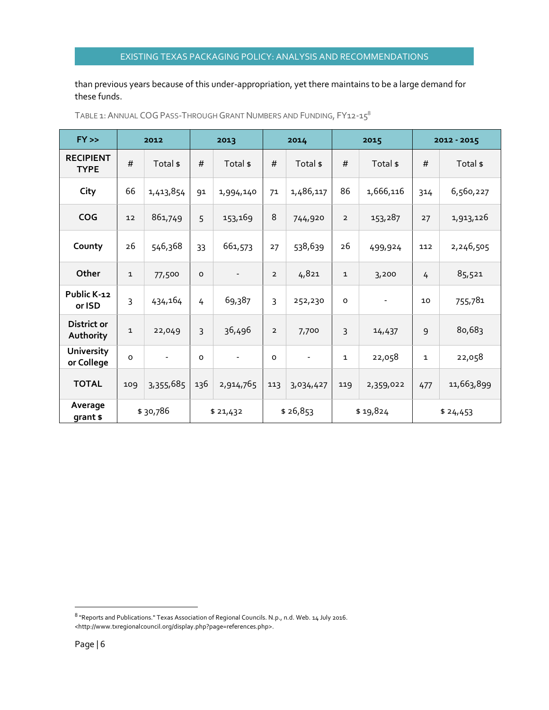than previous years because of this under-appropriation, yet there maintains to be a large demand for these funds.

| $FY \gg$                        |              | 2012                     |          | 2013                     |                | 2014                     | 2015           |                          | 2012 - 2015  |            |
|---------------------------------|--------------|--------------------------|----------|--------------------------|----------------|--------------------------|----------------|--------------------------|--------------|------------|
| <b>RECIPIENT</b><br><b>TYPE</b> | #            | Total \$                 | #        | Total \$                 | #              | Total \$                 | #              | Total \$                 | #            | Total \$   |
| City                            | 66           | 1,413,854                | 91       | 1,994,140                | 71             | 1,486,117                | 86             | 1,666,116                | 314          | 6,560,227  |
| <b>COG</b>                      | 12           | 861,749                  | 5        | 153,169                  | 8              | 744,920                  | $\overline{2}$ | 153,287                  | 27           | 1,913,126  |
| County                          | 26           | 546,368                  | 33       | 661,573                  | 27             | 538,639                  | 26             | 499,924                  | 112          | 2,246,505  |
| Other                           | $\mathbf{1}$ | 77,500                   | $\circ$  | $\overline{\phantom{a}}$ | $\overline{2}$ | 4,821                    | 1              | 3,200                    | 4            | 85,521     |
| Public K-12<br>or ISD           | 3            | 434,164                  | 4        | 69,387                   | 3              | 252,230                  | $\circ$        | $\overline{\phantom{0}}$ | 10           | 755,781    |
| District or<br>Authority        | $\mathbf 1$  | 22,049                   | 3        | 36,496                   | $\overline{2}$ | 7,700                    | 3              | 14,437                   | 9            | 80,683     |
| <b>University</b><br>or College | O            | $\overline{\phantom{0}}$ | $\Omega$ | $\overline{\phantom{a}}$ | $\circ$        | $\overline{\phantom{a}}$ | 1              | 22,058                   | $\mathbf{1}$ | 22,058     |
| <b>TOTAL</b>                    | 109          | 3,355,685                | 136      | 2,914,765                | 113            | 3,034,427                | 119            | 2,359,022                | 477          | 11,663,899 |
| Average<br>grant \$             |              | \$30,786                 |          | \$21,432                 |                | \$26,853                 |                | \$19,824                 |              | \$24,453   |

TABLE 1: ANNUAL COG PASS-THROUGH GRANT NUMBERS AND FUNDING, FY12-15<sup>8</sup>

 <sup>8</sup> "Reports and Publications." Texas Association of Regional Councils. N.p., n.d. Web. 14 July 2016. <http://www.txregionalcouncil.org/display.php?page=references.php>.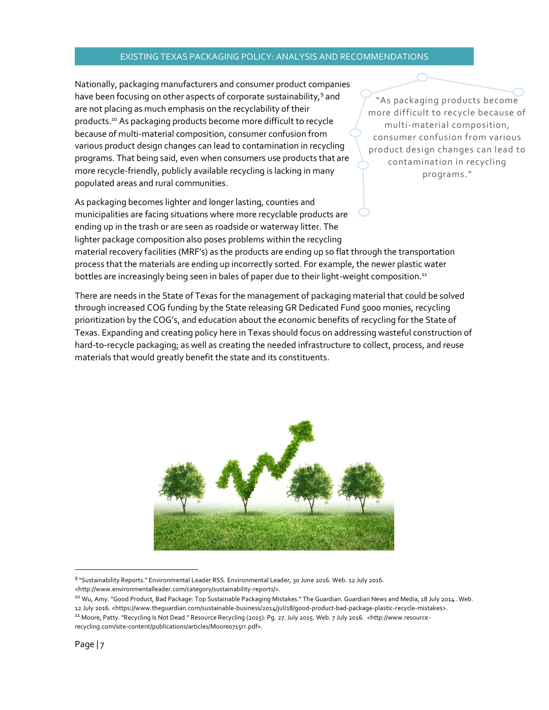Nationally, packaging manufacturers and consumer product companies have been focusing on other aspects of corporate sustainability,<sup>9</sup> and are not placing as much emphasis on the recyclability of their products.10 As packaging products become more difficult to recycle because of multi-material composition, consumer confusion from various product design changes can lead to contamination in recycling programs. That being said, even when consumers use products that are more recycle-friendly, publicly available recycling is lacking in many populated areas and rural communities.

As packaging becomes lighter and longer lasting, counties and municipalities are facing situations where more recyclable products are ending up in the trash or are seen as roadside or waterway litter. The lighter package composition also poses problems within the recycling material recovery facilities (MRF's) as the products are ending up so flat through the transportation process that the materials are ending up incorrectly sorted. For example, the newer plastic water

bottles are increasingly being seen in bales of paper due to their light-weight composition.<sup>11</sup>

"As packaging products become more difficult to recycle because of multi-material composition, consumer confusion from various product design changes can lead to contamination in recycling programs."

There are needs in the State of Texas for the management of packaging material that could be solved through increased COG funding by the State releasing GR Dedicated Fund 5000 monies, recycling prioritization by the COG's, and education about the economic benefits of recycling for the State of Texas. Expanding and creating policy here in Texas should focus on addressing wasteful construction of hard-to-recycle packaging; as well as creating the needed infrastructure to collect, process, and reuse materials that would greatly benefit the state and its constituents.



 <sup>9</sup> "Sustainability Reports." Environmental Leader RSS. Environmental Leader, 30 June 2016. Web. 12 July 2016.

<sup>&</sup>lt;http://www.environmentalleader.com/category/sustainability-reports/>.

<sup>&</sup>lt;sup>10</sup> Wu, Amy. "Good Product, Bad Package: Top Sustainable Packaging Mistakes." The Guardian. Guardian News and Media, 18 July 2014. Web.

<sup>12</sup> July 2016. <https://www.theguardian.com/sustainable-business/2014/jul/18/good-product-bad-package-plastic-recycle-mistakes>.

<sup>11</sup> Moore, Patty. "Recycling Is Not Dead." Resource Recycling (2015): Pg. 27. July 2015. Web. 7 July 2016. <http://www.resourcerecycling.com/site-content/publications/articles/Moore0715rr.pdf>.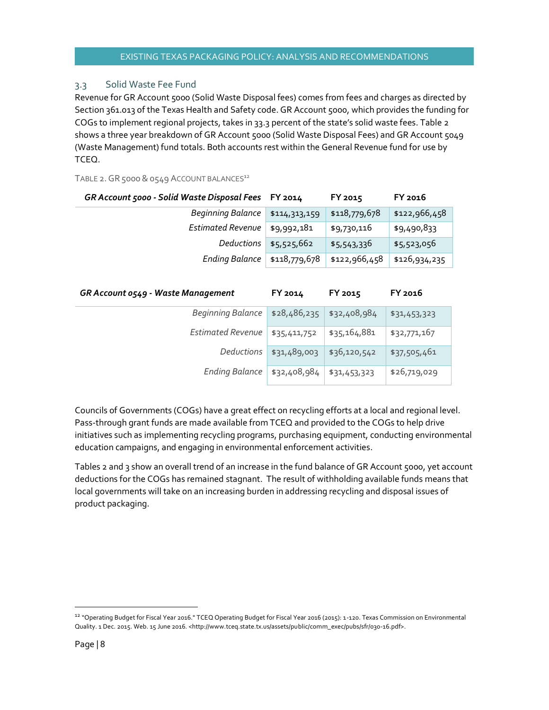#### 3.3 Solid Waste Fee Fund

Revenue for GR Account 5000 (Solid Waste Disposal fees) comes from fees and charges as directed by Section 361.013 of the Texas Health and Safety code. GR Account 5000, which provides the funding for COGs to implement regional projects, takes in 33.3 percent of the state's solid waste fees. Table 2 shows a three year breakdown of GR Account 5000 (Solid Waste Disposal Fees) and GR Account 5049 (Waste Management) fund totals. Both accounts rest within the General Revenue fund for use by TCEQ.

TABLE 2. GR 5000 & 0549 ACCOUNT BALANCES<sup>12</sup>

| GR Account 5000 - Solid Waste Disposal Fees FY 2014 |               | FY 2015       | FY 2016       |
|-----------------------------------------------------|---------------|---------------|---------------|
| Beginning Balance                                   | \$114,313,159 | \$118,779,678 | \$122,966,458 |
| <b>Estimated Revenue</b>                            | \$9,992,181   | \$9,730,116   | \$9,490,833   |
| Deductions                                          | \$5,525,662   | \$5,543,336   | \$5,523,056   |
| Ending Balance                                      | \$118,779,678 | \$122,966,458 | \$126,934,235 |

| GR Account 0549 - Waste Management | FY 2014      | FY 2015      | FY 2016      |
|------------------------------------|--------------|--------------|--------------|
| Beginning Balance                  | \$28,486,235 | \$32,408,984 | \$31,453,323 |
| <b>Estimated Revenue</b>           | \$35,411,752 | \$35,164,881 | \$32,771,167 |
| Deductions                         | \$31,489,003 | \$36,120,542 | \$37,505,461 |
| Ending Balance                     | \$32,408,984 | \$31,453,323 | \$26,719,029 |

Councils of Governments (COGs) have a great effect on recycling efforts at a local and regional level. Pass-through grant funds are made available from TCEQ and provided to the COGs to help drive initiatives such as implementing recycling programs, purchasing equipment, conducting environmental education campaigns, and engaging in environmental enforcement activities.

Tables 2 and 3 show an overall trend of an increase in the fund balance of GR Account 5000, yet account deductions for the COGs has remained stagnant. The result of withholding available funds means that local governments will take on an increasing burden in addressing recycling and disposal issues of product packaging.

<sup>&</sup>lt;sup>12</sup> "Operating Budget for Fiscal Year 2016." TCEQ Operating Budget for Fiscal Year 2016 (2015): 1-120. Texas Commission on Environmental Quality. 1 Dec. 2015. Web. 15 June 2016. <http://www.tceq.state.tx.us/assets/public/comm\_exec/pubs/sfr/030-16.pdf>.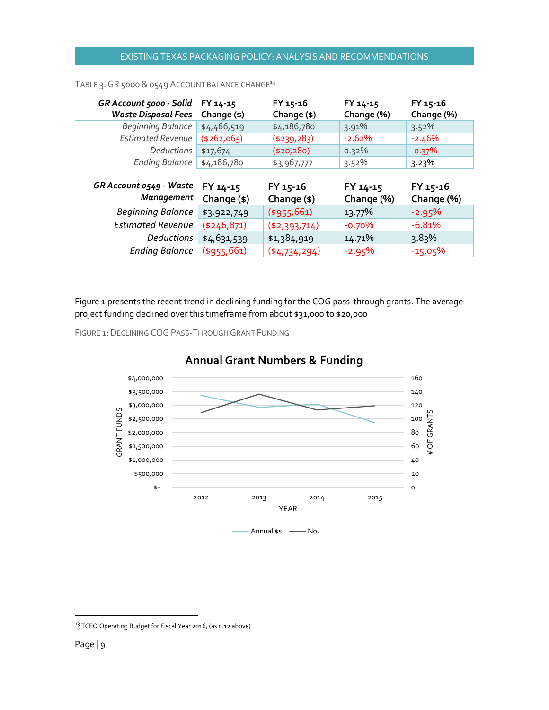| GR Account 5000 - Solid<br><b>Waste Disposal Fees</b> | FY 14-15<br>Change (\$) | FY 15-16<br>Change (\$) | FY 14-15<br>Change (%) | FY 15-16<br>Change (%)   |
|-------------------------------------------------------|-------------------------|-------------------------|------------------------|--------------------------|
| Beginning Balance                                     | \$4,466,519             | \$4,186,780             | 3.91%                  | $3.52\%$                 |
| <b>Estimated Revenue</b>                              | (4262,065)              | (4239, 283)             | $-2.62%$               | $-2.46%$                 |
| Deductions                                            | \$17,674                | (\$20,280)              | $0.32\%$               | $-0.37%$                 |
| <b>Ending Balance</b>                                 | \$4,186,780             | \$3,967,777             | $3.52\%$               | $3.23\%$                 |
|                                                       |                         |                         |                        |                          |
| GR Account 0549 - Waste<br><b>Management</b>          | FY 14-15<br>Change (\$) | FY 15-16<br>Change (\$) | FY 14-15<br>Change (%) | $FY 15-16$<br>Change (%) |
| <b>Beginning Balance</b>                              | \$3,922,749             | $($ \$955,661)          | 13.77%                 | $-2.95%$                 |
| <b>Estimated Revenue</b>                              | $(*246,871)$            | (\$2,393,714)           | $-0.70\%$              | $-6.81%$                 |
| Deductions                                            | \$4,631,539             | \$1,384,919             | 14.71%                 | 3.83%                    |

#### TABLE 3. GR 5000 & 0549 ACCOUNT BALANCE CHANGE<sup>13</sup>

Figure 1 presents the recent trend in declining funding for the COG pass-through grants. The average project funding declined over this timeframe from about \$31,000 to \$20,000

FIGURE 1: DECLINING COG PASS-THROUGH GRANT FUNDING



#### **Annual Grant Numbers & Funding**

<sup>&</sup>lt;sup>13</sup> TCEQ Operating Budget for Fiscal Year 2016, (as n.12 above)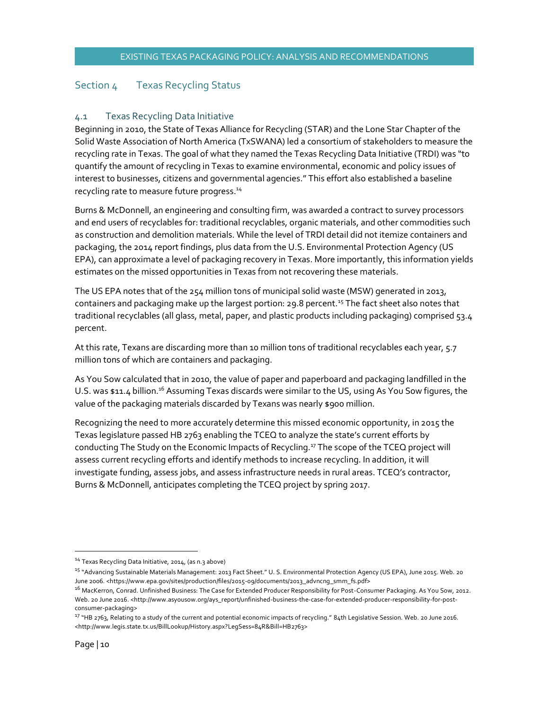#### Section 4 Texas Recycling Status

#### 4.1 Texas Recycling Data Initiative

Beginning in 2010, the State of Texas Alliance for Recycling (STAR) and the Lone Star Chapter of the Solid Waste Association of North America (TxSWANA) led a consortium of stakeholders to measure the recycling rate in Texas. The goal of what they named the Texas Recycling Data Initiative (TRDI) was "to quantify the amount of recycling in Texas to examine environmental, economic and policy issues of interest to businesses, citizens and governmental agencies." This effort also established a baseline recycling rate to measure future progress.<sup>14</sup>

Burns & McDonnell, an engineering and consulting firm, was awarded a contract to survey processors and end users of recyclables for: traditional recyclables, organic materials, and other commodities such as construction and demolition materials. While the level of TRDI detail did not itemize containers and packaging, the 2014 report findings, plus data from the U.S. Environmental Protection Agency (US EPA), can approximate a level of packaging recovery in Texas. More importantly, this information yields estimates on the missed opportunities in Texas from not recovering these materials.

The US EPA notes that of the 254 million tons of municipal solid waste (MSW) generated in 2013, containers and packaging make up the largest portion: 29.8 percent.<sup>15</sup> The fact sheet also notes that traditional recyclables (all glass, metal, paper, and plastic products including packaging) comprised 53.4 percent.

At this rate, Texans are discarding more than 10 million tons of traditional recyclables each year, 5.7 million tons of which are containers and packaging.

As You Sow calculated that in 2010, the value of paper and paperboard and packaging landfilled in the U.S. was \$11.4 billion.<sup>16</sup> Assuming Texas discards were similar to the US, using As You Sow figures, the value of the packaging materials discarded by Texans was nearly \$900 million.

Recognizing the need to more accurately determine this missed economic opportunity, in 2015 the Texas legislature passed HB 2763 enabling the TCEQ to analyze the state's current efforts by conducting The Study on the Economic Impacts of Recycling.17 The scope of the TCEQ project will assess current recycling efforts and identify methods to increase recycling. In addition, it will investigate funding, assess jobs, and assess infrastructure needs in rural areas. TCEQ's contractor, Burns & McDonnell, anticipates completing the TCEQ project by spring 2017.

<sup>&</sup>lt;sup>14</sup> Texas Recycling Data Initiative, 2014, (as n.3 above)

<sup>&</sup>lt;sup>15</sup> "Advancing Sustainable Materials Management: 2013 Fact Sheet." U. S. Environmental Protection Agency (US EPA), June 2015. Web. 20 June 2006. <https://www.epa.gov/sites/production/files/2015-09/documents/2013\_advncng\_smm\_fs.pdf>

<sup>&</sup>lt;sup>16</sup> MacKerron, Conrad. Unfinished Business: The Case for Extended Producer Responsibility for Post-Consumer Packaging. As You Sow, 2012. Web. 20 June 2016. <http://www.asyousow.org/ays\_report/unfinished-business-the-case-for-extended-producer-responsibility-for-postconsumer-packaging>

<sup>&</sup>lt;sup>17</sup> "HB 2763, Relating to a study of the current and potential economic impacts of recycling." 84th Legislative Session. Web. 20 June 2016. <http://www.legis.state.tx.us/BillLookup/History.aspx?LegSess=84R&Bill=HB2763>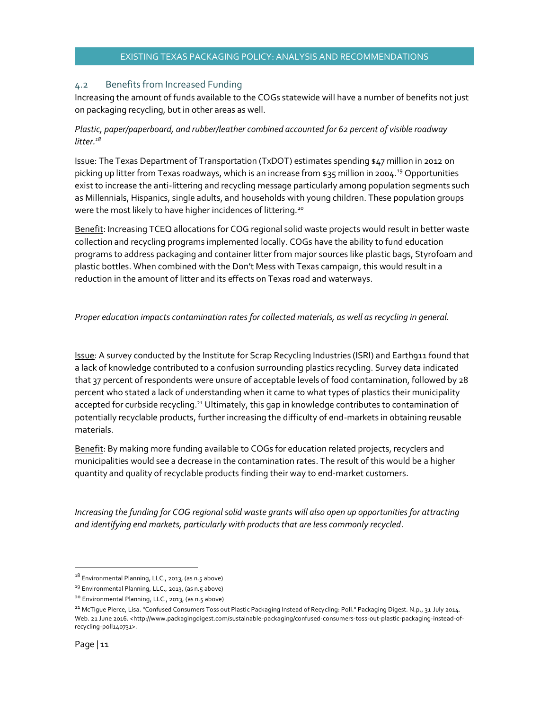#### 4.2 Benefits from Increased Funding

Increasing the amount of funds available to the COGs statewide will have a number of benefits not just on packaging recycling, but in other areas as well.

#### *Plastic, paper/paperboard, and rubber/leather combined accounted for 62 percent of visible roadway litter.18*

Issue: The Texas Department of Transportation (TxDOT) estimates spending \$47 million in 2012 on picking up litter from Texas roadways, which is an increase from \$35 million in 2004.<sup>19</sup> Opportunities exist to increase the anti-littering and recycling message particularly among population segments such as Millennials, Hispanics, single adults, and households with young children. These population groups were the most likely to have higher incidences of littering.<sup>20</sup>

Benefit: Increasing TCEQ allocations for COG regional solid waste projects would result in better waste collection and recycling programs implemented locally. COGs have the ability to fund education programs to address packaging and container litter from major sources like plastic bags, Styrofoam and plastic bottles. When combined with the Don't Mess with Texas campaign, this would result in a reduction in the amount of litter and its effects on Texas road and waterways.

#### *Proper education impacts contamination rates for collected materials, as well as recycling in general.*

Issue: A survey conducted by the Institute for Scrap Recycling Industries (ISRI) and Earth911 found that a lack of knowledge contributed to a confusion surrounding plastics recycling. Survey data indicated that 37 percent of respondents were unsure of acceptable levels of food contamination, followed by 28 percent who stated a lack of understanding when it came to what types of plastics their municipality accepted for curbside recycling.<sup>21</sup> Ultimately, this gap in knowledge contributes to contamination of potentially recyclable products, further increasing the difficulty of end-markets in obtaining reusable materials.

Benefit: By making more funding available to COGs for education related projects, recyclers and municipalities would see a decrease in the contamination rates. The result of this would be a higher quantity and quality of recyclable products finding their way to end-market customers.

*Increasing the funding for COG regional solid waste grants will also open up opportunities for attracting and identifying end markets, particularly with products that are less commonly recycled.* 

 $18$  Environmental Planning, LLC., 2013, (as n.5 above)

<sup>&</sup>lt;sup>19</sup> Environmental Planning, LLC., 2013, (as n.5 above)

<sup>20</sup> Environmental Planning, LLC., 2013, (as n.5 above)

<sup>&</sup>lt;sup>21</sup> McTique Pierce, Lisa. "Confused Consumers Toss out Plastic Packaging Instead of Recycling: Poll." Packaging Digest. N.p., 31 July 2014. Web. 21 June 2016. <http://www.packagingdigest.com/sustainable-packaging/confused-consumers-toss-out-plastic-packaging-instead-ofrecycling-poll140731>.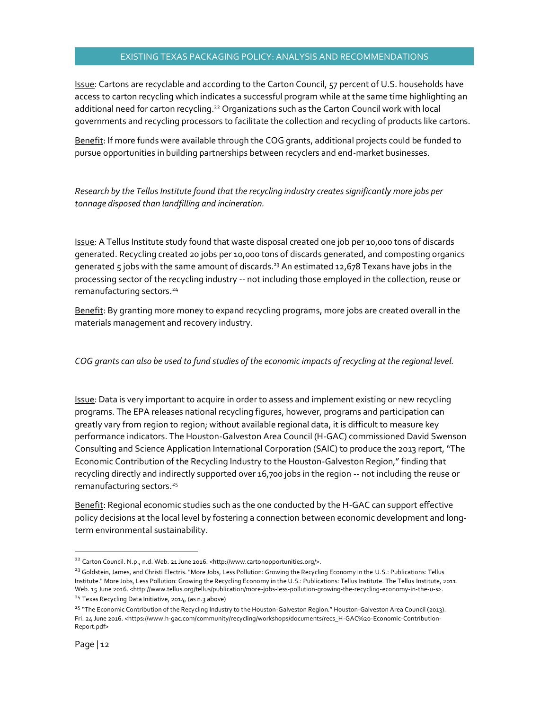Issue: Cartons are recyclable and according to the Carton Council, 57 percent of U.S. households have access to carton recycling which indicates a successful program while at the same time highlighting an additional need for carton recycling.<sup>22</sup> Organizations such as the Carton Council work with local governments and recycling processors to facilitate the collection and recycling of products like cartons.

Benefit: If more funds were available through the COG grants, additional projects could be funded to pursue opportunities in building partnerships between recyclers and end-market businesses.

*Research by the Tellus Institute found that the recycling industry creates significantly more jobs per tonnage disposed than landfilling and incineration.*

Issue: A Tellus Institute study found that waste disposal created one job per 10,000 tons of discards generated. Recycling created 20 jobs per 10,000 tons of discards generated, and composting organics generated 5 jobs with the same amount of discards.<sup>23</sup> An estimated 12,678 Texans have jobs in the processing sector of the recycling industry -- not including those employed in the collection, reuse or remanufacturing sectors.<sup>24</sup>

Benefit: By granting more money to expand recycling programs, more jobs are created overall in the materials management and recovery industry.

*COG grants can also be used to fund studies of the economic impacts of recycling at the regional level.* 

**Issue:** Data is very important to acquire in order to assess and implement existing or new recycling programs. The EPA releases national recycling figures, however, programs and participation can greatly vary from region to region; without available regional data, it is difficult to measure key performance indicators. The Houston-Galveston Area Council (H-GAC) commissioned David Swenson Consulting and Science Application International Corporation (SAIC) to produce the 2013 report, "The Economic Contribution of the Recycling Industry to the Houston-Galveston Region," finding that recycling directly and indirectly supported over 16,700 jobs in the region -- not including the reuse or remanufacturing sectors.<sup>25</sup>

Benefit: Regional economic studies such as the one conducted by the H-GAC can support effective policy decisions at the local level by fostering a connection between economic development and longterm environmental sustainability.

<sup>&</sup>lt;sup>22</sup> Carton Council. N.p., n.d. Web. 21 June 2016. <http://www.cartonopportunities.org/>.

<sup>&</sup>lt;sup>23</sup> Goldstein, James, and Christi Electris. "More Jobs, Less Pollution: Growing the Recycling Economy in the U.S.: Publications: Tellus Institute." More Jobs, Less Pollution: Growing the Recycling Economy in the U.S.: Publications: Tellus Institute. The Tellus Institute, 2011. Web. 15 June 2016. <http://www.tellus.org/tellus/publication/more-jobs-less-pollution-growing-the-recycling-economy-in-the-u-s>. <sup>24</sup> Texas Recycling Data Initiative, 2014, (as n.3 above)

<sup>&</sup>lt;sup>25</sup> "The Economic Contribution of the Recycling Industry to the Houston-Galveston Region." Houston-Galveston Area Council (2013). Fri. 24 June 2016. <https://www.h-gac.com/community/recycling/workshops/documents/recs\_H-GAC%20-Economic-Contribution-Report.pdf>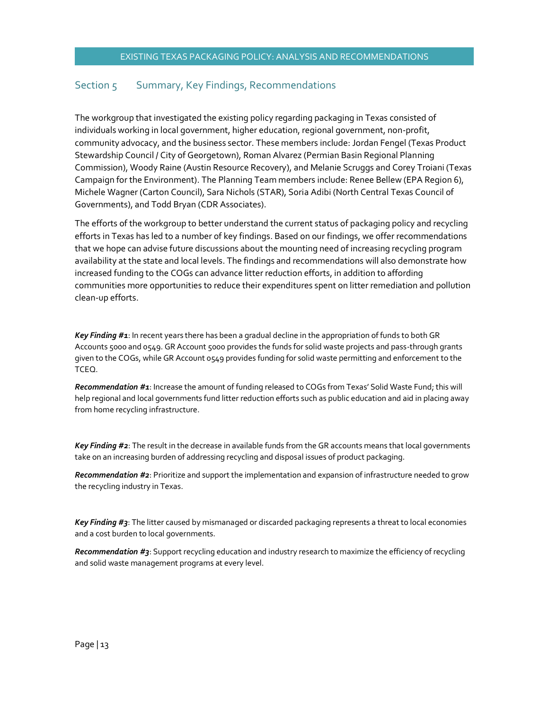#### Section 5 Summary, Key Findings, Recommendations

The workgroup that investigated the existing policy regarding packaging in Texas consisted of individuals working in local government, higher education, regional government, non-profit, community advocacy, and the business sector. These members include: Jordan Fengel (Texas Product Stewardship Council / City of Georgetown), Roman Alvarez (Permian Basin Regional Planning Commission), Woody Raine (Austin Resource Recovery), and Melanie Scruggs and Corey Troiani (Texas Campaign for the Environment). The Planning Team members include: Renee Bellew (EPA Region 6), Michele Wagner (Carton Council), Sara Nichols (STAR), Soria Adibi (North Central Texas Council of Governments), and Todd Bryan (CDR Associates).

The efforts of the workgroup to better understand the current status of packaging policy and recycling efforts in Texas has led to a number of key findings. Based on our findings, we offer recommendations that we hope can advise future discussions about the mounting need of increasing recycling program availability at the state and local levels. The findings and recommendations will also demonstrate how increased funding to the COGs can advance litter reduction efforts, in addition to affording communities more opportunities to reduce their expenditures spent on litter remediation and pollution clean-up efforts.

*Key Finding #1*: In recent years there has been a gradual decline in the appropriation of funds to both GR Accounts 5000 and 0549. GR Account 5000 provides the funds for solid waste projects and pass-through grants given to the COGs, while GR Account 0549 provides funding for solid waste permitting and enforcement to the TCEQ.

*Recommendation #1*: Increase the amount of funding released to COGs from Texas' Solid Waste Fund; this will help regional and local governments fund litter reduction efforts such as public education and aid in placing away from home recycling infrastructure.

*Key Finding #2*: The result in the decrease in available funds from the GR accounts means that local governments take on an increasing burden of addressing recycling and disposal issues of product packaging.

*Recommendation #2*: Prioritize and support the implementation and expansion of infrastructure needed to grow the recycling industry in Texas.

*Key Finding #3*: The litter caused by mismanaged or discarded packaging represents a threat to local economies and a cost burden to local governments.

*Recommendation #3*: Support recycling education and industry research to maximize the efficiency of recycling and solid waste management programs at every level.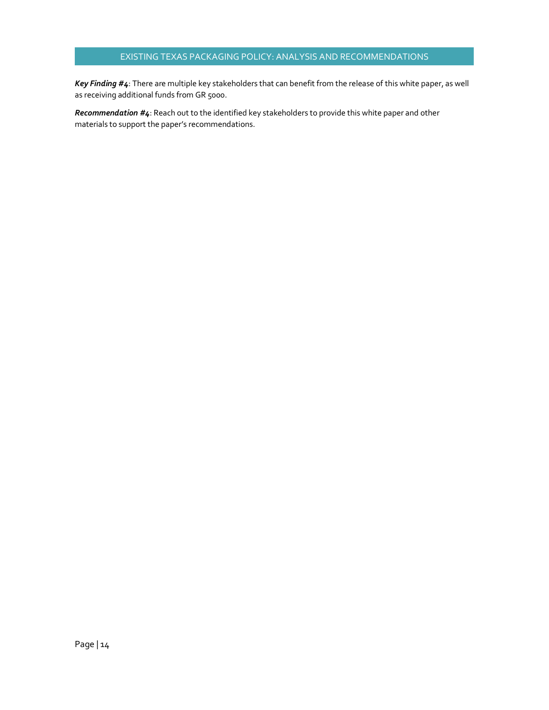*Key Finding #4*: There are multiple key stakeholders that can benefit from the release of this white paper, as well as receiving additional funds from GR 5000.

*Recommendation #4*: Reach out to the identified key stakeholders to provide this white paper and other materials to support the paper's recommendations.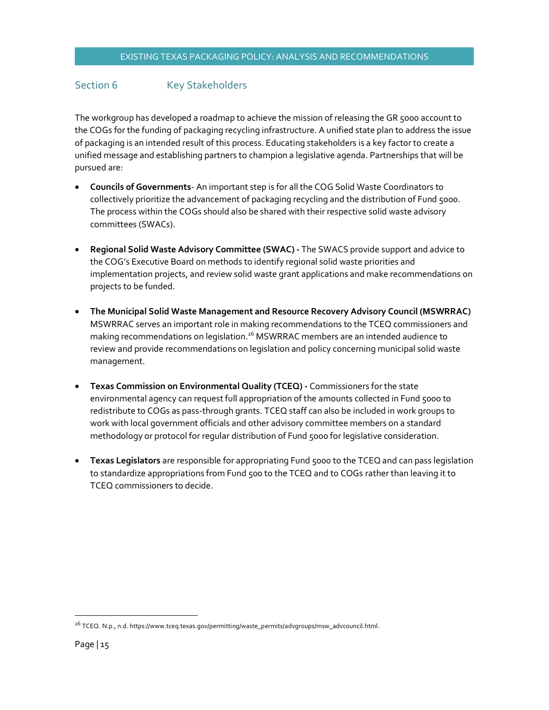#### Section 6 Key Stakeholders

The workgroup has developed a roadmap to achieve the mission of releasing the GR 5000 account to the COGs for the funding of packaging recycling infrastructure. A unified state plan to address the issue of packaging is an intended result of this process. Educating stakeholders is a key factor to create a unified message and establishing partners to champion a legislative agenda. Partnerships that will be pursued are:

- x **Councils of Governments** An important step is for all the COG Solid Waste Coordinators to collectively prioritize the advancement of packaging recycling and the distribution of Fund 5000. The process within the COGs should also be shared with their respective solid waste advisory committees (SWACs).
- x **Regional Solid Waste Advisory Committee (SWAC) -** The SWACS provide support and advice to the COG's Executive Board on methods to identify regional solid waste priorities and implementation projects, and review solid waste grant applications and make recommendations on projects to be funded.
- **The Municipal Solid Waste Management and Resource Recovery Advisory Council (MSWRRAC)** MSWRRAC serves an important role in making recommendations to the TCEQ commissioners and making recommendations on legislation.<sup>26</sup> MSWRRAC members are an intended audience to review and provide recommendations on legislation and policy concerning municipal solid waste management.
- **Texas Commission on Environmental Quality (TCEQ) -** Commissioners for the state environmental agency can request full appropriation of the amounts collected in Fund 5000 to redistribute to COGs as pass-through grants. TCEQ staff can also be included in work groups to work with local government officials and other advisory committee members on a standard methodology or protocol for regular distribution of Fund 5000 for legislative consideration.
- **Texas Legislators** are responsible for appropriating Fund 5000 to the TCEQ and can pass legislation to standardize appropriations from Fund 500 to the TCEQ and to COGs rather than leaving it to TCEQ commissioners to decide.

 <sup>26</sup> TCEQ. N.p., n.d. https://www.tceq.texas.gov/permitting/waste\_permits/advgroups/msw\_advcouncil.html.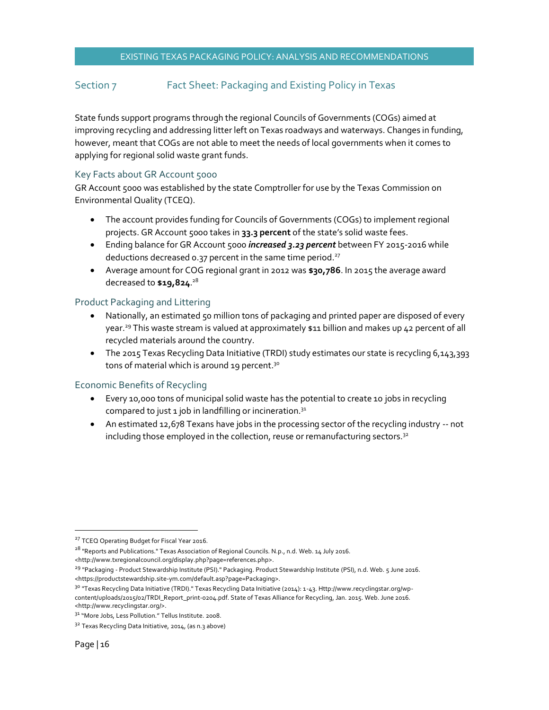#### Section 7 Fact Sheet: Packaging and Existing Policy in Texas

State funds support programs through the regional Councils of Governments (COGs) aimed at improving recycling and addressing litter left on Texas roadways and waterways. Changes in funding, however, meant that COGs are not able to meet the needs of local governments when it comes to applying for regional solid waste grant funds.

#### Key Facts about GR Account 5000

GR Account 5000 was established by the state Comptroller for use by the Texas Commission on Environmental Quality (TCEQ).

- The account provides funding for Councils of Governments (COGs) to implement regional projects. GR Account 5000 takes in **33.3 percent** of the state's solid waste fees.
- Ending balance for GR Account 5000 *increased 3.23 percent* between FY 2015-2016 while deductions decreased 0.37 percent in the same time period. $27$
- **•** Average amount for COG regional grant in 2012 was \$30,786. In 2015 the average award decreased to **\$19,824**. 28

#### Product Packaging and Littering

- Nationally, an estimated 50 million tons of packaging and printed paper are disposed of every year.<sup>29</sup> This waste stream is valued at approximately \$11 billion and makes up 42 percent of all recycled materials around the country.
- The 2015 Texas Recycling Data Initiative (TRDI) study estimates our state is recycling 6,143,393 tons of material which is around 19 percent.<sup>30</sup>

#### Economic Benefits of Recycling

- Every 10,000 tons of municipal solid waste has the potential to create 10 jobs in recycling compared to just 1 job in landfilling or incineration. $31$
- An estimated 12,678 Texans have jobs in the processing sector of the recycling industry -- not including those employed in the collection, reuse or remanufacturing sectors.<sup>32</sup>

<sup>&</sup>lt;sup>27</sup> TCEQ Operating Budget for Fiscal Year 2016.

<sup>&</sup>lt;sup>28</sup> "Reports and Publications." Texas Association of Regional Councils. N.p., n.d. Web. 14 July 2016.

<sup>&</sup>lt;http://www.txregionalcouncil.org/display.php?page=references.php>.

<sup>29</sup> "Packaging - Product Stewardship Institute (PSI)." Packaging. Product Stewardship Institute (PSI), n.d. Web. 5 June 2016. <https://productstewardship.site-ym.com/default.asp?page=Packaging>.

<sup>&</sup>lt;sup>30</sup> "Texas Recycling Data Initiative (TRDI)." Texas Recycling Data Initiative (2014): 1-43. Http://www.recyclingstar.org/wpcontent/uploads/2015/02/TRDI\_Report\_print-0204.pdf. State of Texas Alliance for Recycling, Jan. 2015. Web. June 2016. <http://www.recyclingstar.org/>.

<sup>&</sup>lt;sup>31</sup> "More Jobs, Less Pollution." Tellus Institute. 2008.

<sup>3&</sup>lt;sup>2</sup> Texas Recycling Data Initiative, 2014, (as n.3 above)